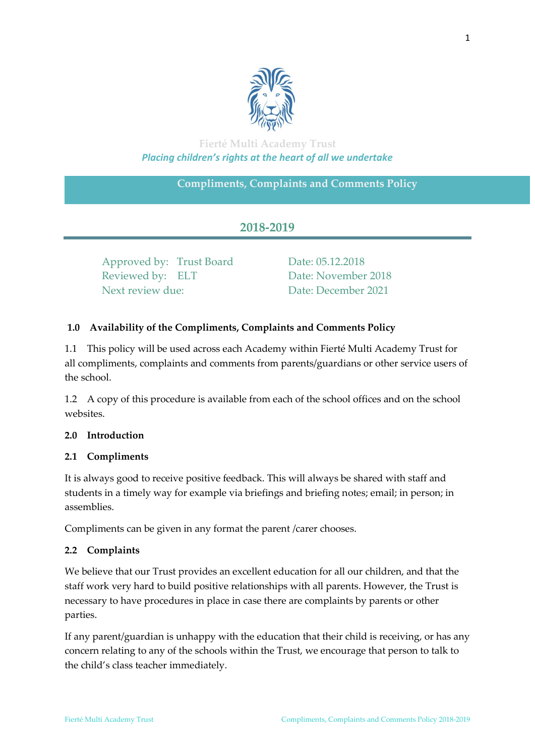

# **Fierté Multi Academy Trust** *Placing children's rights at the heart of all we undertake*

## **Compliments, Complaints and Comments Policy**

# **2018-2019**

Approved by: Trust Board Date: 05.12.2018 Reviewed by: ELT Date: November 2018 Next review due: Date: December 2021

### **1.0 Availability of the Compliments, Complaints and Comments Policy**

1.1 This policy will be used across each Academy within Fierté Multi Academy Trust for all compliments, complaints and comments from parents/guardians or other service users of the school.

1.2 A copy of this procedure is available from each of the school offices and on the school websites.

#### **2.0 Introduction**

#### **2.1 Compliments**

It is always good to receive positive feedback. This will always be shared with staff and students in a timely way for example via briefings and briefing notes; email; in person; in assemblies.

Compliments can be given in any format the parent /carer chooses.

#### **2.2 Complaints**

We believe that our Trust provides an excellent education for all our children, and that the staff work very hard to build positive relationships with all parents. However, the Trust is necessary to have procedures in place in case there are complaints by parents or other parties.

If any parent/guardian is unhappy with the education that their child is receiving, or has any concern relating to any of the schools within the Trust, we encourage that person to talk to the child's class teacher immediately.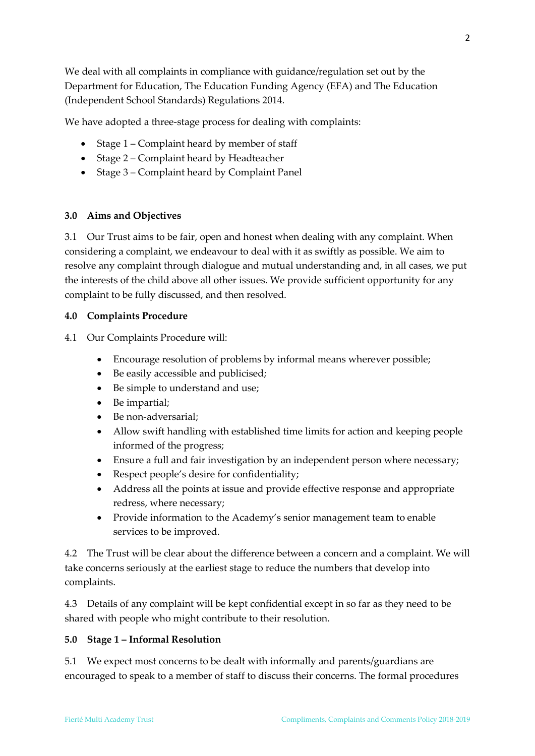We deal with all complaints in compliance with guidance/regulation set out by the Department for Education, The Education Funding Agency (EFA) and The Education (Independent School Standards) Regulations 2014.

We have adopted a three-stage process for dealing with complaints:

- Stage 1 Complaint heard by member of staff
- Stage 2 Complaint heard by Headteacher
- Stage 3 Complaint heard by Complaint Panel

#### **3.0 Aims and Objectives**

3.1 Our Trust aims to be fair, open and honest when dealing with any complaint. When considering a complaint, we endeavour to deal with it as swiftly as possible. We aim to resolve any complaint through dialogue and mutual understanding and, in all cases, we put the interests of the child above all other issues. We provide sufficient opportunity for any complaint to be fully discussed, and then resolved.

#### **4.0 Complaints Procedure**

4.1 Our Complaints Procedure will:

- Encourage resolution of problems by informal means wherever possible;
- Be easily accessible and publicised;
- Be simple to understand and use;
- Be impartial;
- Be non-adversarial;
- Allow swift handling with established time limits for action and keeping people informed of the progress;
- Ensure a full and fair investigation by an independent person where necessary;
- Respect people's desire for confidentiality;
- Address all the points at issue and provide effective response and appropriate redress, where necessary;
- Provide information to the Academy's senior management team to enable services to be improved.

4.2 The Trust will be clear about the difference between a concern and a complaint. We will take concerns seriously at the earliest stage to reduce the numbers that develop into complaints.

4.3 Details of any complaint will be kept confidential except in so far as they need to be shared with people who might contribute to their resolution.

#### **5.0 Stage 1 – Informal Resolution**

5.1 We expect most concerns to be dealt with informally and parents/guardians are encouraged to speak to a member of staff to discuss their concerns. The formal procedures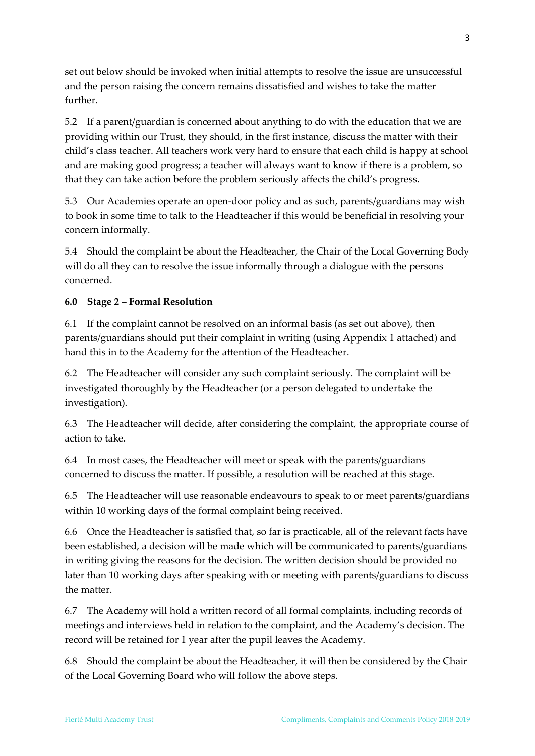set out below should be invoked when initial attempts to resolve the issue are unsuccessful and the person raising the concern remains dissatisfied and wishes to take the matter further.

5.2 If a parent/guardian is concerned about anything to do with the education that we are providing within our Trust, they should, in the first instance, discuss the matter with their child's class teacher. All teachers work very hard to ensure that each child is happy at school and are making good progress; a teacher will always want to know if there is a problem, so that they can take action before the problem seriously affects the child's progress.

5.3 Our Academies operate an open-door policy and as such, parents/guardians may wish to book in some time to talk to the Headteacher if this would be beneficial in resolving your concern informally.

5.4 Should the complaint be about the Headteacher, the Chair of the Local Governing Body will do all they can to resolve the issue informally through a dialogue with the persons concerned.

### **6.0 Stage 2 – Formal Resolution**

6.1 If the complaint cannot be resolved on an informal basis (as set out above), then parents/guardians should put their complaint in writing (using Appendix 1 attached) and hand this in to the Academy for the attention of the Headteacher.

6.2 The Headteacher will consider any such complaint seriously. The complaint will be investigated thoroughly by the Headteacher (or a person delegated to undertake the investigation).

6.3 The Headteacher will decide, after considering the complaint, the appropriate course of action to take.

6.4 In most cases, the Headteacher will meet or speak with the parents/guardians concerned to discuss the matter. If possible, a resolution will be reached at this stage.

6.5 The Headteacher will use reasonable endeavours to speak to or meet parents/guardians within 10 working days of the formal complaint being received.

6.6 Once the Headteacher is satisfied that, so far is practicable, all of the relevant facts have been established, a decision will be made which will be communicated to parents/guardians in writing giving the reasons for the decision. The written decision should be provided no later than 10 working days after speaking with or meeting with parents/guardians to discuss the matter.

6.7 The Academy will hold a written record of all formal complaints, including records of meetings and interviews held in relation to the complaint, and the Academy's decision. The record will be retained for 1 year after the pupil leaves the Academy.

6.8 Should the complaint be about the Headteacher, it will then be considered by the Chair of the Local Governing Board who will follow the above steps.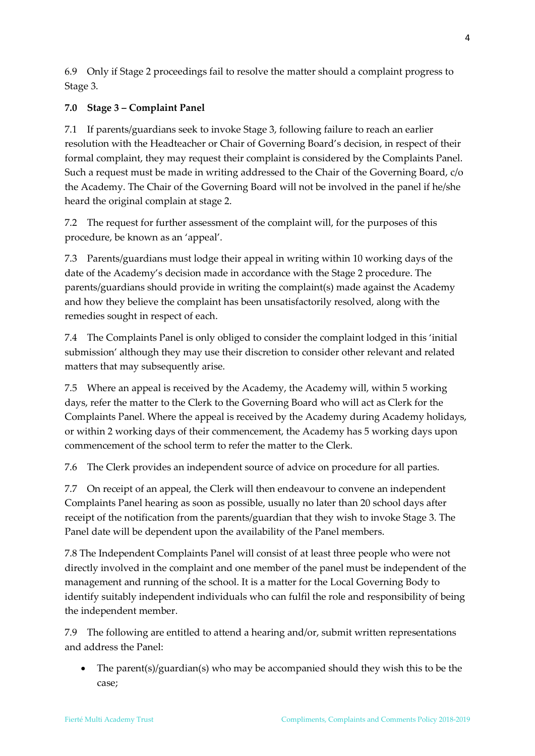6.9 Only if Stage 2 proceedings fail to resolve the matter should a complaint progress to Stage 3.

## **7.0 Stage 3 – Complaint Panel**

7.1 If parents/guardians seek to invoke Stage 3, following failure to reach an earlier resolution with the Headteacher or Chair of Governing Board's decision, in respect of their formal complaint, they may request their complaint is considered by the Complaints Panel. Such a request must be made in writing addressed to the Chair of the Governing Board, c/o the Academy. The Chair of the Governing Board will not be involved in the panel if he/she heard the original complain at stage 2.

7.2 The request for further assessment of the complaint will, for the purposes of this procedure, be known as an 'appeal'.

7.3 Parents/guardians must lodge their appeal in writing within 10 working days of the date of the Academy's decision made in accordance with the Stage 2 procedure. The parents/guardians should provide in writing the complaint(s) made against the Academy and how they believe the complaint has been unsatisfactorily resolved, along with the remedies sought in respect of each.

7.4 The Complaints Panel is only obliged to consider the complaint lodged in this 'initial submission' although they may use their discretion to consider other relevant and related matters that may subsequently arise.

7.5 Where an appeal is received by the Academy, the Academy will, within 5 working days, refer the matter to the Clerk to the Governing Board who will act as Clerk for the Complaints Panel. Where the appeal is received by the Academy during Academy holidays, or within 2 working days of their commencement, the Academy has 5 working days upon commencement of the school term to refer the matter to the Clerk.

7.6 The Clerk provides an independent source of advice on procedure for all parties.

7.7 On receipt of an appeal, the Clerk will then endeavour to convene an independent Complaints Panel hearing as soon as possible, usually no later than 20 school days after receipt of the notification from the parents/guardian that they wish to invoke Stage 3. The Panel date will be dependent upon the availability of the Panel members.

7.8 The Independent Complaints Panel will consist of at least three people who were not directly involved in the complaint and one member of the panel must be independent of the management and running of the school. It is a matter for the Local Governing Body to identify suitably independent individuals who can fulfil the role and responsibility of being the independent member.

7.9 The following are entitled to attend a hearing and/or, submit written representations and address the Panel:

 The parent(s)/guardian(s) who may be accompanied should they wish this to be the case;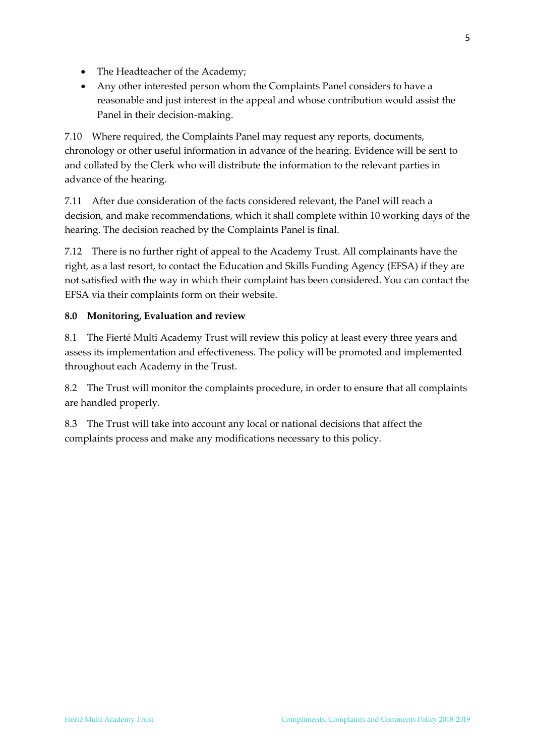- The Headteacher of the Academy;
- Any other interested person whom the Complaints Panel considers to have a reasonable and just interest in the appeal and whose contribution would assist the Panel in their decision-making.

7.10 Where required, the Complaints Panel may request any reports, documents, chronology or other useful information in advance of the hearing. Evidence will be sent to and collated by the Clerk who will distribute the information to the relevant parties in advance of the hearing.

7.11 After due consideration of the facts considered relevant, the Panel will reach a decision, and make recommendations, which it shall complete within 10 working days of the hearing. The decision reached by the Complaints Panel is final.

7.12 There is no further right of appeal to the Academy Trust. All complainants have the right, as a last resort, to contact the Education and Skills Funding Agency (EFSA) if they are not satisfied with the way in which their complaint has been considered. You can contact the EFSA via their complaints form on their website.

### **8.0 Monitoring, Evaluation and review**

8.1 The Fierté Multi Academy Trust will review this policy at least every three years and assess its implementation and effectiveness. The policy will be promoted and implemented throughout each Academy in the Trust.

8.2 The Trust will monitor the complaints procedure, in order to ensure that all complaints are handled properly.

8.3 The Trust will take into account any local or national decisions that affect the complaints process and make any modifications necessary to this policy.